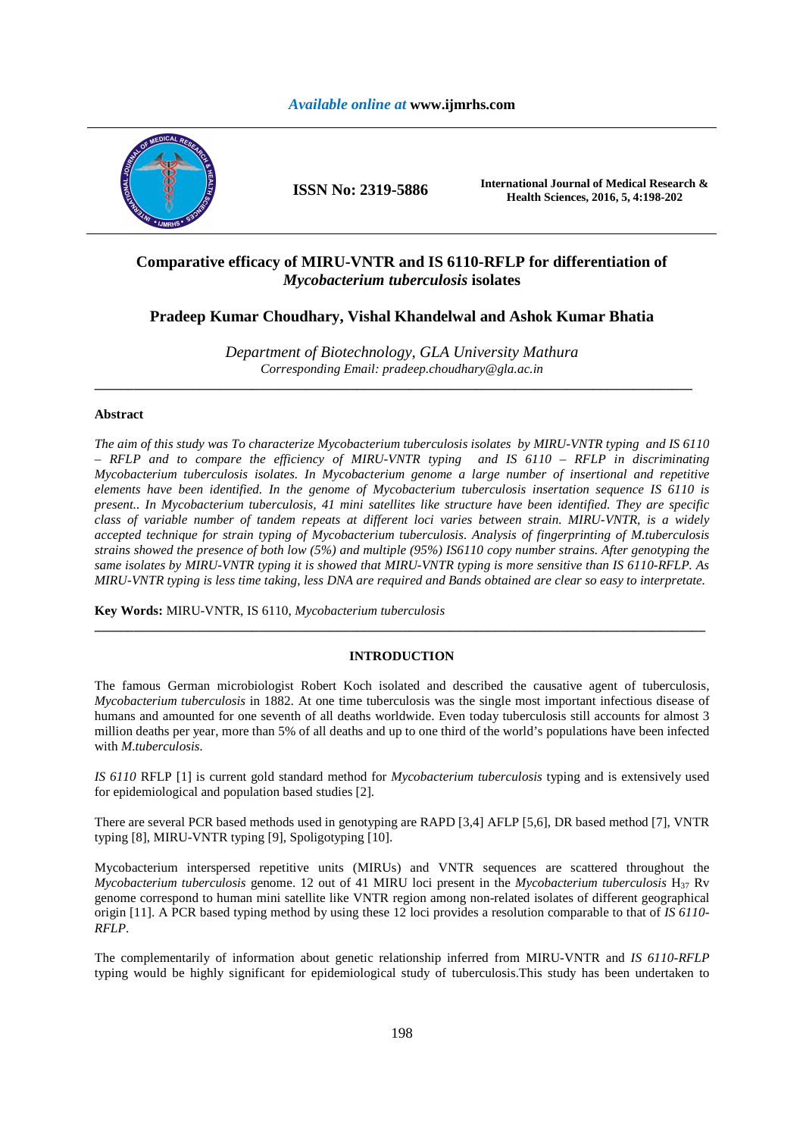## *Available online at* **www.ijmrhs.com**



**ISSN No: 2319-5886 International Journal of Medical Research & Health Sciences, 2016, 5, 4:198-202** 

# **Comparative efficacy of MIRU-VNTR and IS 6110-RFLP for differentiation of**  *Mycobacterium tuberculosis* **isolates**

**Pradeep Kumar Choudhary, Vishal Khandelwal and Ashok Kumar Bhatia** 

*Department of Biotechnology, GLA University Mathura Corresponding Email: pradeep.choudhary@gla.ac.in* 

**\_\_\_\_\_\_\_\_\_\_\_\_\_\_\_\_\_\_\_\_\_\_\_\_\_\_\_\_\_\_\_\_\_\_\_\_\_\_\_\_\_\_\_\_\_\_\_\_\_\_\_\_\_\_\_\_\_\_\_\_\_\_\_\_\_\_\_\_\_\_\_\_\_\_\_\_\_\_\_\_\_\_\_\_\_\_\_\_\_\_\_** 

## **Abstract**

*The aim of this study was To characterize Mycobacterium tuberculosis isolates by MIRU-VNTR typing and IS 6110 – RFLP and to compare the efficiency of MIRU-VNTR typing and IS 6110 – RFLP in discriminating Mycobacterium tuberculosis isolates. In Mycobacterium genome a large number of insertional and repetitive elements have been identified. In the genome of Mycobacterium tuberculosis insertation sequence IS 6110 is present.. In Mycobacterium tuberculosis, 41 mini satellites like structure have been identified. They are specific class of variable number of tandem repeats at different loci varies between strain. MIRU-VNTR, is a widely accepted technique for strain typing of Mycobacterium tuberculosis. Analysis of fingerprinting of M.tuberculosis strains showed the presence of both low (5%) and multiple (95%) IS6110 copy number strains. After genotyping the same isolates by MIRU-VNTR typing it is showed that MIRU-VNTR typing is more sensitive than IS 6110-RFLP. As MIRU-VNTR typing is less time taking, less DNA are required and Bands obtained are clear so easy to interpretate.* 

**Key Words:** MIRU-VNTR, IS 6110, *Mycobacterium tuberculosis*

## **INTRODUCTION**

**\_\_\_\_\_\_\_\_\_\_\_\_\_\_\_\_\_\_\_\_\_\_\_\_\_\_\_\_\_\_\_\_\_\_\_\_\_\_\_\_\_\_\_\_\_\_\_\_\_\_\_\_\_\_\_\_\_\_\_\_\_\_\_\_\_\_\_\_\_\_\_\_\_\_\_\_\_\_\_\_\_\_\_\_\_\_\_\_\_\_\_\_\_** 

The famous German microbiologist Robert Koch isolated and described the causative agent of tuberculosis, *Mycobacterium tuberculosis* in 1882. At one time tuberculosis was the single most important infectious disease of humans and amounted for one seventh of all deaths worldwide. Even today tuberculosis still accounts for almost 3 million deaths per year, more than 5% of all deaths and up to one third of the world's populations have been infected with *M.tuberculosis.*

*IS 6110* RFLP [1] is current gold standard method for *Mycobacterium tuberculosis* typing and is extensively used for epidemiological and population based studies [2].

There are several PCR based methods used in genotyping are RAPD [3,4] AFLP [5,6], DR based method [7], VNTR typing [8], MIRU-VNTR typing [9], Spoligotyping [10].

Mycobacterium interspersed repetitive units (MIRUs) and VNTR sequences are scattered throughout the *Mycobacterium tuberculosis* genome. 12 out of 41 MIRU loci present in the *Mycobacterium tuberculosis* H37 Rv genome correspond to human mini satellite like VNTR region among non-related isolates of different geographical origin [11]. A PCR based typing method by using these 12 loci provides a resolution comparable to that of *IS 6110- RFLP*.

The complementarily of information about genetic relationship inferred from MIRU-VNTR and *IS 6110-RFLP* typing would be highly significant for epidemiological study of tuberculosis.This study has been undertaken to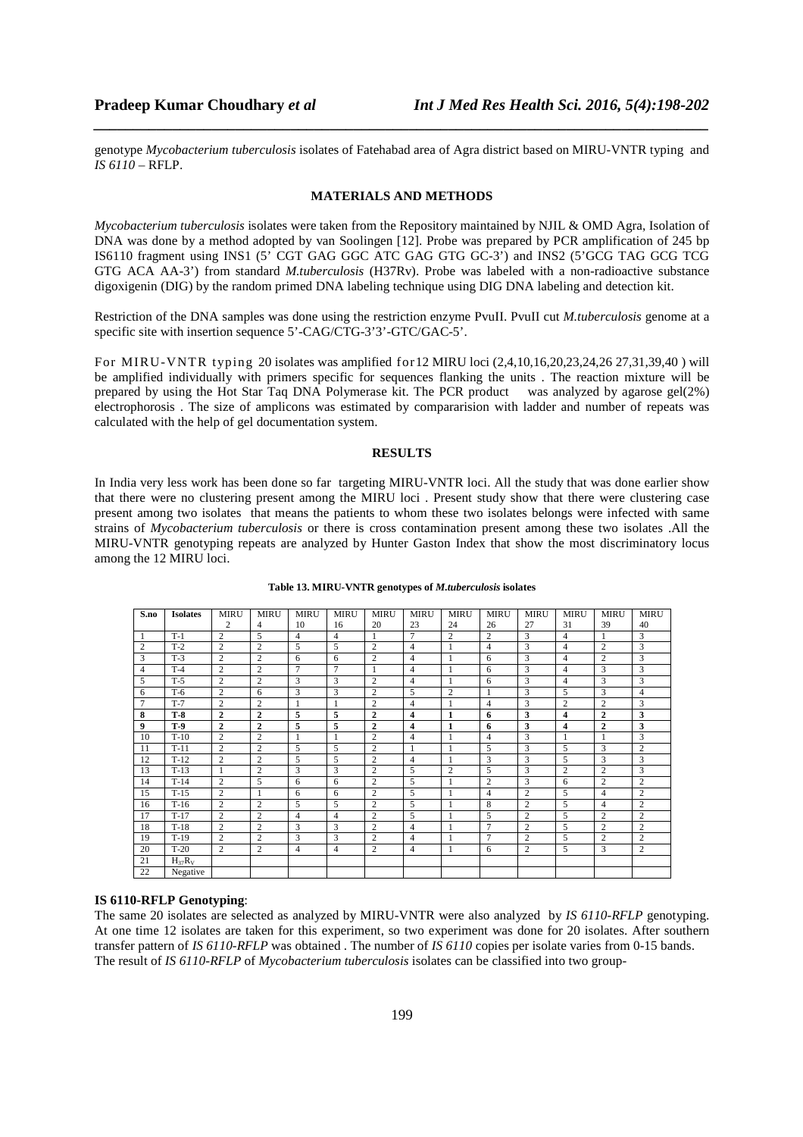genotype *Mycobacterium tuberculosis* isolates of Fatehabad area of Agra district based on MIRU-VNTR typing and *IS 6110* – RFLP.

*\_\_\_\_\_\_\_\_\_\_\_\_\_\_\_\_\_\_\_\_\_\_\_\_\_\_\_\_\_\_\_\_\_\_\_\_\_\_\_\_\_\_\_\_\_\_\_\_\_\_\_\_\_\_\_\_\_\_\_\_\_\_\_\_\_\_\_\_\_\_\_\_\_\_\_\_\_\_*

### **MATERIALS AND METHODS**

*Mycobacterium tuberculosis* isolates were taken from the Repository maintained by NJIL & OMD Agra, Isolation of DNA was done by a method adopted by van Soolingen [12]. Probe was prepared by PCR amplification of 245 bp IS6110 fragment using INS1 (5' CGT GAG GGC ATC GAG GTG GC-3') and INS2 (5'GCG TAG GCG TCG GTG ACA AA-3') from standard *M.tuberculosis* (H37Rv). Probe was labeled with a non-radioactive substance digoxigenin (DIG) by the random primed DNA labeling technique using DIG DNA labeling and detection kit.

Restriction of the DNA samples was done using the restriction enzyme PvuII. PvuII cut *M.tuberculosis* genome at a specific site with insertion sequence 5'-CAG/CTG-3'3'-GTC/GAC-5'.

For MIRU-VNTR typing 20 isolates was amplified for12 MIRU loci (2,4,10,16,20,23,24,26 27,31,39,40 ) will be amplified individually with primers specific for sequences flanking the units . The reaction mixture will be prepared by using the Hot Star Taq DNA Polymerase kit. The PCR product was analyzed by agarose gel(2%) electrophorosis . The size of amplicons was estimated by compararision with ladder and number of repeats was calculated with the help of gel documentation system.

## **RESULTS**

In India very less work has been done so far targeting MIRU-VNTR loci. All the study that was done earlier show that there were no clustering present among the MIRU loci . Present study show that there were clustering case present among two isolates that means the patients to whom these two isolates belongs were infected with same strains of *Mycobacterium tuberculosis* or there is cross contamination present among these two isolates .All the MIRU-VNTR genotyping repeats are analyzed by Hunter Gaston Index that show the most discriminatory locus among the 12 MIRU loci.

| S.no           | <b>Isolates</b> | <b>MIRU</b>    | <b>MIRU</b>    | <b>MIRU</b>    | <b>MIRU</b>    | MIRU           | <b>MIRU</b>             | <b>MIRU</b>    | <b>MIRU</b>    | <b>MIRU</b>    | MIRU           | <b>MIRU</b>    | <b>MIRU</b>    |
|----------------|-----------------|----------------|----------------|----------------|----------------|----------------|-------------------------|----------------|----------------|----------------|----------------|----------------|----------------|
|                |                 | 2              | $\overline{4}$ | 10             | 16             | 20             | 23                      | 24             | 26             | 27             | 31             | 39             | 40             |
| 1              | $T-1$           | 2              | 5              | $\overline{4}$ | $\overline{4}$ | 1              | 7                       | $\overline{2}$ | $\overline{c}$ | 3              | $\overline{4}$ |                | 3              |
| 2              | $T-2$           | $\overline{c}$ | $\overline{2}$ | 5              | 5              | $\overline{c}$ | $\overline{4}$          |                | $\overline{4}$ | $\overline{3}$ | $\overline{4}$ | $\overline{c}$ | 3              |
| 3              | $T-3$           | $\overline{c}$ | $\overline{2}$ | 6              | 6              | $\overline{c}$ | $\overline{4}$          |                | 6              | 3              | $\overline{4}$ | $\overline{2}$ | 3              |
| 4              | $T-4$           | 2              | $\overline{2}$ | 7              | 7              | 1              | $\overline{4}$          |                | 6              | 3              | 4              | 3              | 3              |
| 5              | $T-5$           | 2              | $\overline{2}$ | 3              | 3              | 2              | $\overline{4}$          |                | 6              | 3              | $\overline{4}$ | 3              | 3              |
| 6              | $T-6$           | 2              | 6              | 3              | 3              | $\overline{c}$ | 5                       | 2              | 1              | 3              | 5              | 3              | 4              |
| $\overline{7}$ | $T-7$           | $\overline{c}$ | $\overline{2}$ | 1              | 1              | $\overline{c}$ | $\overline{4}$          |                | $\overline{4}$ | 3              | $\overline{c}$ | $\overline{c}$ | 3              |
| 8              | $T-8$           | $\overline{2}$ | $\overline{2}$ | 5              | 5              | $\overline{2}$ | $\overline{\mathbf{4}}$ | 1              | 6              | 3              | $\overline{4}$ | $\overline{2}$ | 3              |
| 9              | $T-9$           | $\overline{2}$ | $\mathbf{2}$   | 5              | 5              | $\overline{2}$ | 4                       | 1              | 6              | 3              | 4              | $\overline{2}$ | 3              |
| 10             | $T-10$          | $\overline{c}$ | $\overline{2}$ | 1              |                | $\overline{c}$ | $\overline{4}$          |                | $\overline{4}$ | 3              |                |                | 3              |
| 11             | $T-11$          | $\overline{c}$ | $\overline{2}$ | 5              | 5              | $\overline{c}$ | 1                       |                | 5              | 3              | 5              | 3              | $\overline{c}$ |
| 12             | $T-12$          | 2              | $\overline{2}$ | 5              | 5              | 2              | $\overline{4}$          |                | 3              | 3              | 5              | 3              | 3              |
| 13             | $T-13$          | $\mathbf{1}$   | $\overline{2}$ | 3              | 3              | 2              | $\overline{5}$          | 2              | 5              | 3              | $\overline{2}$ | $\overline{2}$ | 3              |
| 14             | $T-14$          | $\overline{c}$ | 5              | 6              | 6              | $\overline{c}$ | 5                       | 1              | $\overline{c}$ | 3              | 6              | $\overline{c}$ | $\overline{c}$ |
| 15             | $T-15$          | $\overline{c}$ | $\mathbf{1}$   | 6              | 6              | $\overline{2}$ | 5                       |                | $\overline{4}$ | $\overline{2}$ | 5              | $\overline{4}$ | $\overline{c}$ |
| 16             | $T-16$          | $\overline{c}$ | $\overline{2}$ | 5              | 5              | 2              | 5                       |                | 8              | $\overline{2}$ | 5              | $\overline{4}$ | $\overline{c}$ |
| 17             | $T-17$          | $\overline{c}$ | $\overline{2}$ | $\overline{4}$ | $\overline{4}$ | $\overline{c}$ | 5                       |                | 5              | $\overline{2}$ | 5              | $\overline{c}$ | $\overline{2}$ |
| 18             | $T-18$          | $\overline{c}$ | $\overline{2}$ | 3              | 3              | $\overline{c}$ | $\overline{4}$          |                | 7              | $\overline{2}$ | 5              | $\overline{2}$ | $\overline{c}$ |
| 19             | $T-19$          | $\overline{c}$ | $\overline{2}$ | 3              | 3              | 2              | 4                       |                | 7              | $\overline{2}$ | 5              | 2              | 2              |
| 20             | $T-20$          | 2              | $\overline{2}$ | $\overline{4}$ | $\overline{4}$ | $\overline{c}$ | $\overline{4}$          | 1              | 6              | 2              | 5              | 3              | $\overline{c}$ |
| 21             | $H_{37}R_V$     |                |                |                |                |                |                         |                |                |                |                |                |                |
| 22             | Negative        |                |                |                |                |                |                         |                |                |                |                |                |                |

#### **Table 13. MIRU-VNTR genotypes of** *M.tuberculosis* **isolates**

### **IS 6110-RFLP Genotyping**:

The same 20 isolates are selected as analyzed by MIRU-VNTR were also analyzed by *IS 6110-RFLP* genotyping. At one time 12 isolates are taken for this experiment, so two experiment was done for 20 isolates. After southern transfer pattern of *IS 6110-RFLP* was obtained . The number of *IS 6110* copies per isolate varies from 0-15 bands. The result of *IS 6110-RFLP* of *Mycobacterium tuberculosis* isolates can be classified into two group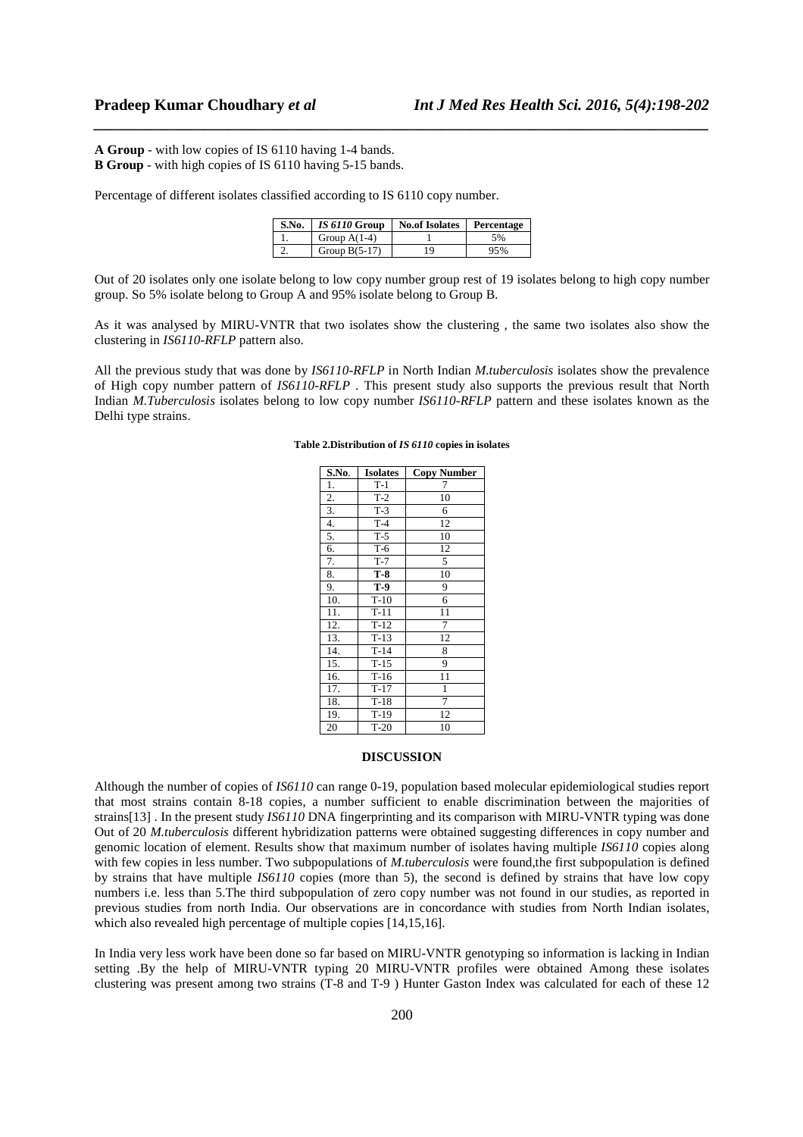**A Group** - with low copies of IS 6110 having 1-4 bands. **B Group** - with high copies of IS 6110 having 5-15 bands.

Percentage of different isolates classified according to IS 6110 copy number.

| S.No. | IS 6110 Group   | <b>No.of Isolates</b> | Percentage |
|-------|-----------------|-----------------------|------------|
|       | Group $A(1-4)$  |                       | .5%        |
| ٠.    | Group $B(5-17)$ | 19                    | 95%        |

*\_\_\_\_\_\_\_\_\_\_\_\_\_\_\_\_\_\_\_\_\_\_\_\_\_\_\_\_\_\_\_\_\_\_\_\_\_\_\_\_\_\_\_\_\_\_\_\_\_\_\_\_\_\_\_\_\_\_\_\_\_\_\_\_\_\_\_\_\_\_\_\_\_\_\_\_\_\_*

Out of 20 isolates only one isolate belong to low copy number group rest of 19 isolates belong to high copy number group. So 5% isolate belong to Group A and 95% isolate belong to Group B.

As it was analysed by MIRU-VNTR that two isolates show the clustering , the same two isolates also show the clustering in *IS6110-RFLP* pattern also.

All the previous study that was done by *IS6110-RFLP* in North Indian *M.tuberculosis* isolates show the prevalence of High copy number pattern of *IS6110-RFLP* . This present study also supports the previous result that North Indian *M.Tuberculosis* isolates belong to low copy number *IS6110-RFLP* pattern and these isolates known as the Delhi type strains.

#### **S.No. Isolates Copy Number** 1. | T-1 | 7 2. | T-2 | 10 3. T-3 6<br>4. T-4 12 4. T-4 5. T-5 10 6. T-6 12  $7 \t T-7 \t 5$ 8. **T-8** 10 9. **T-9** 9  $T-10$  6 11. **T**-11 11 12. T-12 7 13. T-13 12 14. T-14 8 15. T-15 9 16. T-16 11<br>17. T-17 1  $\frac{T-17}{T-18}$  1 18. T-18 19. T-19 12 20 T-20 10

### **Table 2.Distribution of** *IS 6110* **copies in isolates**

### **DISCUSSION**

Although the number of copies of *IS6110* can range 0-19, population based molecular epidemiological studies report that most strains contain 8-18 copies, a number sufficient to enable discrimination between the majorities of strains[13] . In the present study *IS6110* DNA fingerprinting and its comparison with MIRU-VNTR typing was done Out of 20 *M.tuberculosis* different hybridization patterns were obtained suggesting differences in copy number and genomic location of element. Results show that maximum number of isolates having multiple *IS6110* copies along with few copies in less number. Two subpopulations of *M.tuberculosis* were found,the first subpopulation is defined by strains that have multiple *IS6110* copies (more than 5), the second is defined by strains that have low copy numbers i.e. less than 5.The third subpopulation of zero copy number was not found in our studies, as reported in previous studies from north India. Our observations are in concordance with studies from North Indian isolates, which also revealed high percentage of multiple copies [14,15,16].

In India very less work have been done so far based on MIRU-VNTR genotyping so information is lacking in Indian setting .By the help of MIRU-VNTR typing 20 MIRU-VNTR profiles were obtained Among these isolates clustering was present among two strains (T-8 and T-9 ) Hunter Gaston Index was calculated for each of these 12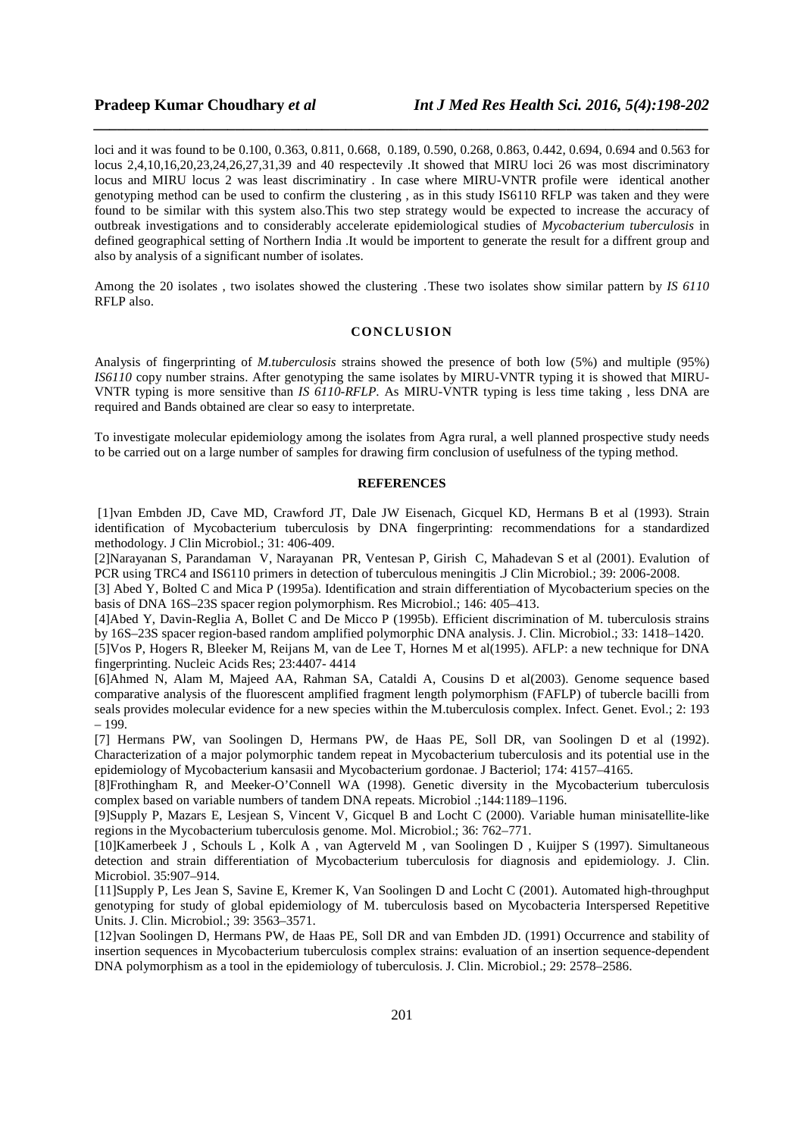loci and it was found to be 0.100, 0.363, 0.811, 0.668, 0.189, 0.590, 0.268, 0.863, 0.442, 0.694, 0.694 and 0.563 for locus 2,4,10,16,20,23,24,26,27,31,39 and 40 respectevily .It showed that MIRU loci 26 was most discriminatory locus and MIRU locus 2 was least discriminatiry . In case where MIRU-VNTR profile were identical another genotyping method can be used to confirm the clustering , as in this study IS6110 RFLP was taken and they were found to be similar with this system also.This two step strategy would be expected to increase the accuracy of outbreak investigations and to considerably accelerate epidemiological studies of *Mycobacterium tuberculosis* in defined geographical setting of Northern India .It would be importent to generate the result for a diffrent group and also by analysis of a significant number of isolates.

*\_\_\_\_\_\_\_\_\_\_\_\_\_\_\_\_\_\_\_\_\_\_\_\_\_\_\_\_\_\_\_\_\_\_\_\_\_\_\_\_\_\_\_\_\_\_\_\_\_\_\_\_\_\_\_\_\_\_\_\_\_\_\_\_\_\_\_\_\_\_\_\_\_\_\_\_\_\_*

Among the 20 isolates , two isolates showed the clustering .These two isolates show similar pattern by *IS 6110* RFLP also.

## **CONCLUSION**

Analysis of fingerprinting of *M.tuberculosis* strains showed the presence of both low (5%) and multiple (95%) *IS6110* copy number strains. After genotyping the same isolates by MIRU-VNTR typing it is showed that MIRU-VNTR typing is more sensitive than *IS 6110-RFLP*. As MIRU-VNTR typing is less time taking , less DNA are required and Bands obtained are clear so easy to interpretate.

To investigate molecular epidemiology among the isolates from Agra rural, a well planned prospective study needs to be carried out on a large number of samples for drawing firm conclusion of usefulness of the typing method.

## **REFERENCES**

 [1]van Embden JD, Cave MD, Crawford JT, Dale JW Eisenach, Gicquel KD, Hermans B et al (1993). Strain identification of Mycobacterium tuberculosis by DNA fingerprinting: recommendations for a standardized methodology. J Clin Microbiol.; 31: 406-409.

[2]Narayanan S, Parandaman V, Narayanan PR, Ventesan P, Girish C, Mahadevan S et al (2001). Evalution of PCR using TRC4 and IS6110 primers in detection of tuberculous meningitis .J Clin Microbiol.; 39: 2006-2008.

[3] Abed Y, Bolted C and Mica P (1995a). Identification and strain differentiation of Mycobacterium species on the basis of DNA 16S–23S spacer region polymorphism. Res Microbiol.; 146: 405–413.

[4]Abed Y, Davin-Reglia A, Bollet C and De Micco P (1995b). Efficient discrimination of M. tuberculosis strains by 16S–23S spacer region-based random amplified polymorphic DNA analysis. J. Clin. Microbiol.; 33: 1418–1420.

[5]Vos P, Hogers R, Bleeker M, Reijans M, van de Lee T, Hornes M et al(1995). AFLP: a new technique for DNA fingerprinting. Nucleic Acids Res; 23:4407- 4414

[6]Ahmed N, Alam M, Majeed AA, Rahman SA, Cataldi A, Cousins D et al(2003). Genome sequence based comparative analysis of the fluorescent amplified fragment length polymorphism (FAFLP) of tubercle bacilli from seals provides molecular evidence for a new species within the M.tuberculosis complex. Infect. Genet. Evol.; 2: 193 – 199.

[7] Hermans PW, van Soolingen D, Hermans PW, de Haas PE, Soll DR, van Soolingen D et al (1992). Characterization of a major polymorphic tandem repeat in Mycobacterium tuberculosis and its potential use in the epidemiology of Mycobacterium kansasii and Mycobacterium gordonae. J Bacteriol; 174: 4157–4165.

[8]Frothingham R, and Meeker-O'Connell WA (1998). Genetic diversity in the Mycobacterium tuberculosis complex based on variable numbers of tandem DNA repeats. Microbiol .;144:1189–1196.

[9]Supply P, Mazars E, Lesjean S, Vincent V, Gicquel B and Locht C (2000). Variable human minisatellite-like regions in the Mycobacterium tuberculosis genome. Mol. Microbiol.; 36: 762–771.

[10]Kamerbeek J , Schouls L , Kolk A , van Agterveld M , van Soolingen D , Kuijper S (1997). Simultaneous detection and strain differentiation of Mycobacterium tuberculosis for diagnosis and epidemiology. J. Clin. Microbiol. 35:907–914.

[11]Supply P, Les Jean S, Savine E, Kremer K, Van Soolingen D and Locht C (2001). Automated high-throughput genotyping for study of global epidemiology of M. tuberculosis based on Mycobacteria Interspersed Repetitive Units. J. Clin. Microbiol.; 39: 3563–3571.

[12]van Soolingen D, Hermans PW, de Haas PE, Soll DR and van Embden JD. (1991) Occurrence and stability of insertion sequences in Mycobacterium tuberculosis complex strains: evaluation of an insertion sequence-dependent DNA polymorphism as a tool in the epidemiology of tuberculosis. J. Clin. Microbiol.; 29: 2578–2586.